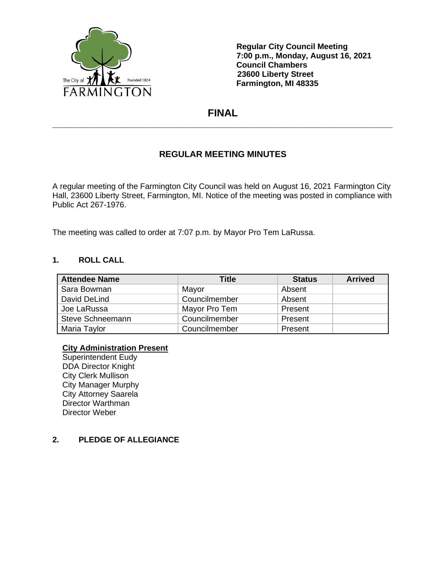

**Regular City Council Meeting 7:00 p.m., Monday, August 16, 2021 Council Chambers 23600 Liberty Street Farmington, MI 48335**

# **FINAL \_\_\_\_\_\_\_\_\_\_\_\_\_\_\_\_\_\_\_\_\_\_\_\_\_\_\_\_\_\_\_\_\_\_\_\_\_\_\_\_\_\_\_\_\_\_\_\_\_\_\_\_\_\_\_\_\_\_\_\_\_\_\_\_\_\_\_\_\_\_**

# **REGULAR MEETING MINUTES**

A regular meeting of the Farmington City Council was held on August 16, 2021 Farmington City Hall, 23600 Liberty Street, Farmington, MI. Notice of the meeting was posted in compliance with Public Act 267-1976.

The meeting was called to order at 7:07 p.m. by Mayor Pro Tem LaRussa.

#### **1. ROLL CALL**

| <b>Attendee Name</b> | Title         | <b>Status</b> | <b>Arrived</b> |
|----------------------|---------------|---------------|----------------|
| Sara Bowman          | Mayor         | Absent        |                |
| David DeLind         | Councilmember | Absent        |                |
| Joe LaRussa          | Mayor Pro Tem | Present       |                |
| Steve Schneemann     | Councilmember | Present       |                |
| Maria Taylor         | Councilmember | Present       |                |

## **City Administration Present**

Superintendent Eudy DDA Director Knight City Clerk Mullison City Manager Murphy City Attorney Saarela Director Warthman Director Weber

## **2. PLEDGE OF ALLEGIANCE**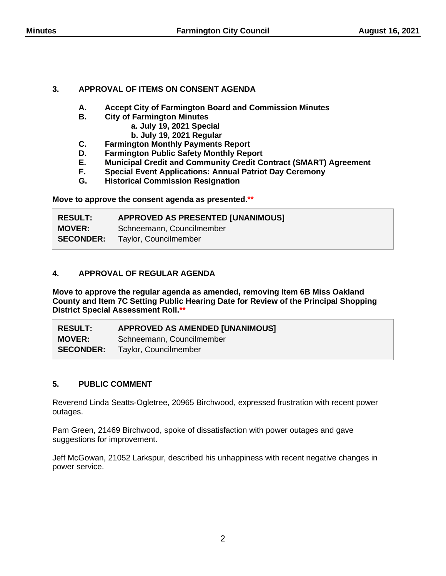# **3. APPROVAL OF ITEMS ON CONSENT AGENDA**

- **A. Accept City of Farmington Board and Commission Minutes**
	- **B. City of Farmington Minutes**
		- **a. July 19, 2021 Special**
		- **b. July 19, 2021 Regular**
- **C. Farmington Monthly Payments Report**
- 
- **D. Farmington Public Safety Monthly Report E. Municipal Credit and Community Credit Contract (SMART) Agreement**
- **F. Special Event Applications: Annual Patriot Day Ceremony**
- **G. Historical Commission Resignation**

**Move to approve the consent agenda as presented.\*\***

| <b>RESULT:</b> | <b>APPROVED AS PRESENTED [UNANIMOUS]</b> |
|----------------|------------------------------------------|
| <b>MOVER:</b>  | Schneemann, Councilmember                |
|                | <b>SECONDER:</b> Taylor, Councilmember   |

# **4. APPROVAL OF REGULAR AGENDA**

**Move to approve the regular agenda as amended, removing Item 6B Miss Oakland County and Item 7C Setting Public Hearing Date for Review of the Principal Shopping District Special Assessment Roll.\*\***

| <b>RESULT:</b> | <b>APPROVED AS AMENDED [UNANIMOUS]</b> |
|----------------|----------------------------------------|
| <b>MOVER:</b>  | Schneemann, Councilmember              |
|                | <b>SECONDER:</b> Taylor, Councilmember |

# **5. PUBLIC COMMENT**

Reverend Linda Seatts-Ogletree, 20965 Birchwood, expressed frustration with recent power outages.

Pam Green, 21469 Birchwood, spoke of dissatisfaction with power outages and gave suggestions for improvement.

Jeff McGowan, 21052 Larkspur, described his unhappiness with recent negative changes in power service.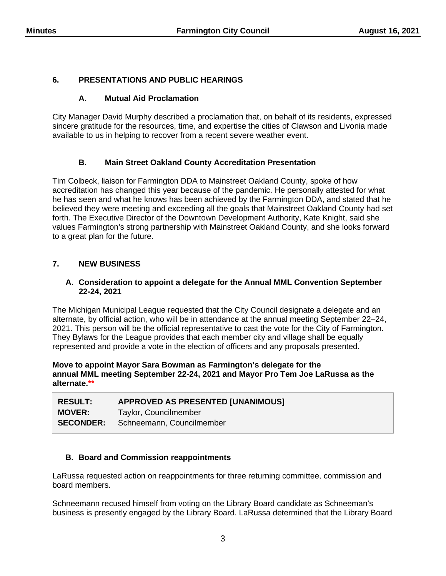# **6. PRESENTATIONS AND PUBLIC HEARINGS**

## **A. Mutual Aid Proclamation**

City Manager David Murphy described a proclamation that, on behalf of its residents, expressed sincere gratitude for the resources, time, and expertise the cities of Clawson and Livonia made available to us in helping to recover from a recent severe weather event.

# **B. Main Street Oakland County Accreditation Presentation**

Tim Colbeck, liaison for Farmington DDA to Mainstreet Oakland County, spoke of how accreditation has changed this year because of the pandemic. He personally attested for what he has seen and what he knows has been achieved by the Farmington DDA, and stated that he believed they were meeting and exceeding all the goals that Mainstreet Oakland County had set forth. The Executive Director of the Downtown Development Authority, Kate Knight, said she values Farmington's strong partnership with Mainstreet Oakland County, and she looks forward to a great plan for the future.

# **7. NEW BUSINESS**

#### **A. Consideration to appoint a delegate for the Annual MML Convention September 22-24, 2021**

The Michigan Municipal League requested that the City Council designate a delegate and an alternate, by official action, who will be in attendance at the annual meeting September 22–24, 2021. This person will be the official representative to cast the vote for the City of Farmington. They Bylaws for the League provides that each member city and village shall be equally represented and provide a vote in the election of officers and any proposals presented.

#### **Move to appoint Mayor Sara Bowman as Farmington's delegate for the annual MML meeting September 22-24, 2021 and Mayor Pro Tem Joe LaRussa as the alternate.\*\***

| <b>RESULT:</b> | APPROVED AS PRESENTED [UNANIMOUS]          |
|----------------|--------------------------------------------|
| <b>MOVER:</b>  | Taylor, Councilmember                      |
|                | <b>SECONDER:</b> Schneemann, Councilmember |

## **B. Board and Commission reappointments**

LaRussa requested action on reappointments for three returning committee, commission and board members.

Schneemann recused himself from voting on the Library Board candidate as Schneeman's business is presently engaged by the Library Board. LaRussa determined that the Library Board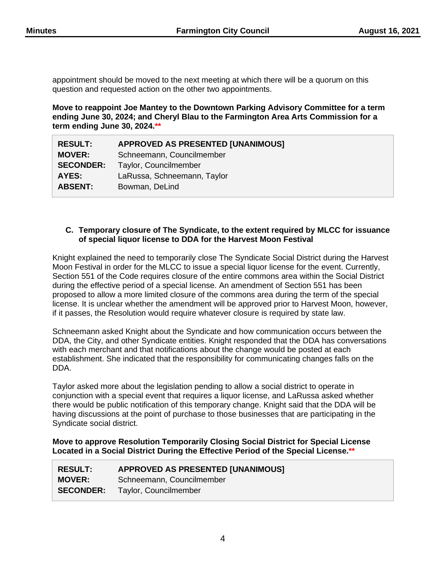appointment should be moved to the next meeting at which there will be a quorum on this question and requested action on the other two appointments.

**Move to reappoint Joe Mantey to the Downtown Parking Advisory Committee for a term ending June 30, 2024; and Cheryl Blau to the Farmington Area Arts Commission for a term ending June 30, 2024.\*\***

| <b>RESULT:</b>   | <b>APPROVED AS PRESENTED [UNANIMOUS]</b> |
|------------------|------------------------------------------|
| <b>MOVER:</b>    | Schneemann, Councilmember                |
| <b>SECONDER:</b> | Taylor, Councilmember                    |
| AYES:            | LaRussa, Schneemann, Taylor              |
| <b>ABSENT:</b>   | Bowman, DeLind                           |

#### **C. Temporary closure of The Syndicate, to the extent required by MLCC for issuance of special liquor license to DDA for the Harvest Moon Festival**

Knight explained the need to temporarily close The Syndicate Social District during the Harvest Moon Festival in order for the MLCC to issue a special liquor license for the event. Currently, Section 551 of the Code requires closure of the entire commons area within the Social District during the effective period of a special license. An amendment of Section 551 has been proposed to allow a more limited closure of the commons area during the term of the special license. It is unclear whether the amendment will be approved prior to Harvest Moon, however, if it passes, the Resolution would require whatever closure is required by state law.

Schneemann asked Knight about the Syndicate and how communication occurs between the DDA, the City, and other Syndicate entities. Knight responded that the DDA has conversations with each merchant and that notifications about the change would be posted at each establishment. She indicated that the responsibility for communicating changes falls on the DDA.

Taylor asked more about the legislation pending to allow a social district to operate in conjunction with a special event that requires a liquor license, and LaRussa asked whether there would be public notification of this temporary change. Knight said that the DDA will be having discussions at the point of purchase to those businesses that are participating in the Syndicate social district.

**Move to approve Resolution Temporarily Closing Social District for Special License Located in a Social District During the Effective Period of the Special License.\*\***

| <b>RESULT:</b>   | <b>APPROVED AS PRESENTED [UNANIMOUS]</b> |
|------------------|------------------------------------------|
| <b>MOVER:</b>    | Schneemann, Councilmember                |
| <b>SECONDER:</b> | Taylor, Councilmember                    |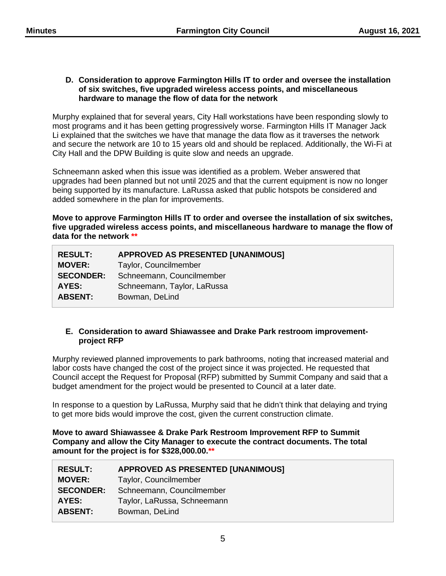#### **D. Consideration to approve Farmington Hills IT to order and oversee the installation of six switches, five upgraded wireless access points, and miscellaneous hardware to manage the flow of data for the network**

Murphy explained that for several years, City Hall workstations have been responding slowly to most programs and it has been getting progressively worse. Farmington Hills IT Manager Jack Li explained that the switches we have that manage the data flow as it traverses the network and secure the network are 10 to 15 years old and should be replaced. Additionally, the Wi-Fi at City Hall and the DPW Building is quite slow and needs an upgrade.

Schneemann asked when this issue was identified as a problem. Weber answered that upgrades had been planned but not until 2025 and that the current equipment is now no longer being supported by its manufacture. LaRussa asked that public hotspots be considered and added somewhere in the plan for improvements.

**Move to approve Farmington Hills IT to order and oversee the installation of six switches, five upgraded wireless access points, and miscellaneous hardware to manage the flow of data for the network \*\***

| <b>RESULT:</b>   | <b>APPROVED AS PRESENTED [UNANIMOUS]</b> |
|------------------|------------------------------------------|
| <b>MOVER:</b>    | Taylor, Councilmember                    |
| <b>SECONDER:</b> | Schneemann, Councilmember                |
| AYES:            | Schneemann, Taylor, LaRussa              |
| <b>ABSENT:</b>   | Bowman, DeLind                           |

#### **E. Consideration to award Shiawassee and Drake Park restroom improvementproject RFP**

Murphy reviewed planned improvements to park bathrooms, noting that increased material and labor costs have changed the cost of the project since it was projected. He requested that Council accept the Request for Proposal (RFP) submitted by Summit Company and said that a budget amendment for the project would be presented to Council at a later date.

In response to a question by LaRussa, Murphy said that he didn't think that delaying and trying to get more bids would improve the cost, given the current construction climate.

**Move to award Shiawassee & Drake Park Restroom Improvement RFP to Summit Company and allow the City Manager to execute the contract documents. The total amount for the project is for \$328,000.00.\*\***

| <b>APPROVED AS PRESENTED [UNANIMOUS]</b> |
|------------------------------------------|
| Taylor, Councilmember                    |
| Schneemann, Councilmember                |
| Taylor, LaRussa, Schneemann              |
| Bowman, DeLind                           |
|                                          |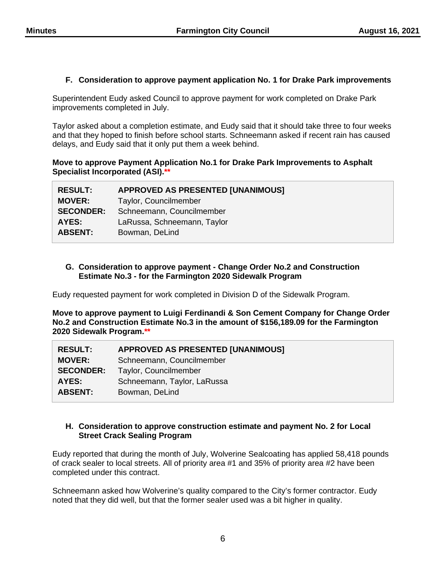## **F. Consideration to approve payment application No. 1 for Drake Park improvements**

Superintendent Eudy asked Council to approve payment for work completed on Drake Park improvements completed in July.

Taylor asked about a completion estimate, and Eudy said that it should take three to four weeks and that they hoped to finish before school starts. Schneemann asked if recent rain has caused delays, and Eudy said that it only put them a week behind.

## **Move to approve Payment Application No.1 for Drake Park Improvements to Asphalt Specialist Incorporated (ASI).\*\***

| <b>RESULT:</b>   | <b>APPROVED AS PRESENTED [UNANIMOUS]</b> |
|------------------|------------------------------------------|
| <b>MOVER:</b>    | Taylor, Councilmember                    |
| <b>SECONDER:</b> | Schneemann, Councilmember                |
| AYES:            | LaRussa, Schneemann, Taylor              |
| <b>ABSENT:</b>   | Bowman, DeLind                           |
|                  |                                          |

#### **G. Consideration to approve payment - Change Order No.2 and Construction Estimate No.3 - for the Farmington 2020 Sidewalk Program**

Eudy requested payment for work completed in Division D of the Sidewalk Program.

**Move to approve payment to Luigi Ferdinandi & Son Cement Company for Change Order No.2 and Construction Estimate No.3 in the amount of \$156,189.09 for the Farmington 2020 Sidewalk Program.\*\***

| <b>RESULT:</b>   | <b>APPROVED AS PRESENTED [UNANIMOUS]</b> |
|------------------|------------------------------------------|
| <b>MOVER:</b>    | Schneemann, Councilmember                |
| <b>SECONDER:</b> | Taylor, Councilmember                    |
| AYES:            | Schneemann, Taylor, LaRussa              |
| <b>ABSENT:</b>   | Bowman, DeLind                           |

## **H. Consideration to approve construction estimate and payment No. 2 for Local Street Crack Sealing Program**

Eudy reported that during the month of July, Wolverine Sealcoating has applied 58,418 pounds of crack sealer to local streets. All of priority area #1 and 35% of priority area #2 have been completed under this contract.

Schneemann asked how Wolverine's quality compared to the City's former contractor. Eudy noted that they did well, but that the former sealer used was a bit higher in quality.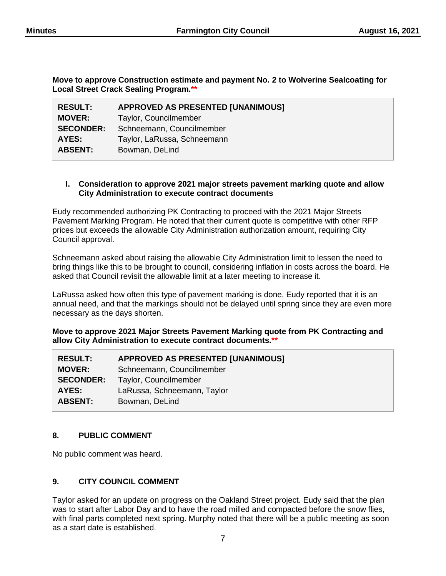**Move to approve Construction estimate and payment No. 2 to Wolverine Sealcoating for Local Street Crack Sealing Program.\*\***

| <b>RESULT:</b>   | <b>APPROVED AS PRESENTED [UNANIMOUS]</b> |
|------------------|------------------------------------------|
| <b>MOVER:</b>    | Taylor, Councilmember                    |
| <b>SECONDER:</b> | Schneemann, Councilmember                |
| AYES:            | Taylor, LaRussa, Schneemann              |
| <b>ABSENT:</b>   | Bowman, DeLind                           |

#### **I. Consideration to approve 2021 major streets pavement marking quote and allow City Administration to execute contract documents**

Eudy recommended authorizing PK Contracting to proceed with the 2021 Major Streets Pavement Marking Program. He noted that their current quote is competitive with other RFP prices but exceeds the allowable City Administration authorization amount, requiring City Council approval.

Schneemann asked about raising the allowable City Administration limit to lessen the need to bring things like this to be brought to council, considering inflation in costs across the board. He asked that Council revisit the allowable limit at a later meeting to increase it.

LaRussa asked how often this type of pavement marking is done. Eudy reported that it is an annual need, and that the markings should not be delayed until spring since they are even more necessary as the days shorten.

**Move to approve 2021 Major Streets Pavement Marking quote from PK Contracting and allow City Administration to execute contract documents.\*\***

| <b>RESULT:</b>   | <b>APPROVED AS PRESENTED [UNANIMOUS]</b> |
|------------------|------------------------------------------|
| <b>MOVER:</b>    | Schneemann, Councilmember                |
| <b>SECONDER:</b> | Taylor, Councilmember                    |
| AYES:            | LaRussa, Schneemann, Taylor              |
| <b>ABSENT:</b>   | Bowman, DeLind                           |
|                  |                                          |

# **8. PUBLIC COMMENT**

No public comment was heard.

## **9. CITY COUNCIL COMMENT**

Taylor asked for an update on progress on the Oakland Street project. Eudy said that the plan was to start after Labor Day and to have the road milled and compacted before the snow flies, with final parts completed next spring. Murphy noted that there will be a public meeting as soon as a start date is established.